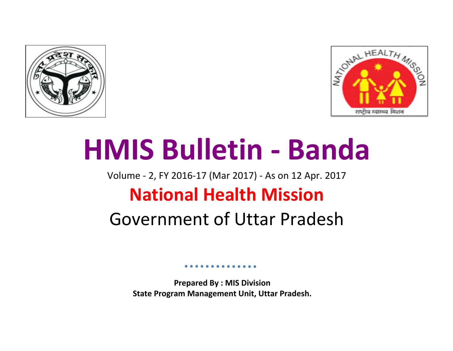



# **HMIS Bulletin - Banda**

Volume - 2, FY 2016-17 (Mar 2017) - As on 12 Apr. 2017

## **National Health Mission**

## Government of Uttar Pradesh

**Prepared By : MIS Division State Program Management Unit, Uttar Pradesh.**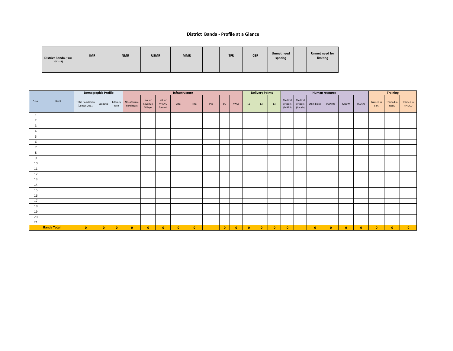#### **District Banda - Profile at a Glance**

| District Banda (*AHS<br>$2012-13)$ | <b>IMR</b> | <b>NMR</b> | U5MR | <b>MMR</b> | <b>TFR</b> | <b>CBR</b> | <b>Unmet need</b><br>spacing | Unmet need for<br>limiting |
|------------------------------------|------------|------------|------|------------|------------|------------|------------------------------|----------------------------|
|                                    |            |            |      |            |            |            |                              |                            |

|                         |                    | <b>Demographic Profile</b>               |              |                  |                          |                              |                                  | Infrastructure |           |     |           |           |              | <b>Delivery Points</b> |           |                               |                                |              | Human resource |              |           |                          | <b>Training</b>                  |                             |
|-------------------------|--------------------|------------------------------------------|--------------|------------------|--------------------------|------------------------------|----------------------------------|----------------|-----------|-----|-----------|-----------|--------------|------------------------|-----------|-------------------------------|--------------------------------|--------------|----------------|--------------|-----------|--------------------------|----------------------------------|-----------------------------|
| S.no.                   | Block              | <b>Total Population</b><br>(Census 2011) | Sex ratio    | Literacy<br>rate | No. of Gram<br>Panchayat | No. of<br>Revenue<br>Village | NO. of<br><b>VHSNC</b><br>formed | CHC            | PHC       | Pvt | <b>SC</b> | AWCs      | L1           | L2                     | L3        | Medical<br>officers<br>(MBBS) | Medical<br>officers<br>(Ayush) | SN in block  | # ANMs         | #AWW         | #ASHAs    | <b>Trained in</b><br>SBA | <b>Trained in</b><br><b>NSSK</b> | <b>Trained in</b><br>PPIUCD |
| $\overline{1}$          |                    |                                          |              |                  |                          |                              |                                  |                |           |     |           |           |              |                        |           |                               |                                |              |                |              |           |                          |                                  |                             |
| $\overline{2}$          |                    |                                          |              |                  |                          |                              |                                  |                |           |     |           |           |              |                        |           |                               |                                |              |                |              |           |                          |                                  |                             |
| $\overline{\mathbf{3}}$ |                    |                                          |              |                  |                          |                              |                                  |                |           |     |           |           |              |                        |           |                               |                                |              |                |              |           |                          |                                  |                             |
| $\overline{4}$          |                    |                                          |              |                  |                          |                              |                                  |                |           |     |           |           |              |                        |           |                               |                                |              |                |              |           |                          |                                  |                             |
| 5                       |                    |                                          |              |                  |                          |                              |                                  |                |           |     |           |           |              |                        |           |                               |                                |              |                |              |           |                          |                                  |                             |
| 6                       |                    |                                          |              |                  |                          |                              |                                  |                |           |     |           |           |              |                        |           |                               |                                |              |                |              |           |                          |                                  |                             |
| $7^{\circ}$             |                    |                                          |              |                  |                          |                              |                                  |                |           |     |           |           |              |                        |           |                               |                                |              |                |              |           |                          |                                  |                             |
| 8                       |                    |                                          |              |                  |                          |                              |                                  |                |           |     |           |           |              |                        |           |                               |                                |              |                |              |           |                          |                                  |                             |
| 9                       |                    |                                          |              |                  |                          |                              |                                  |                |           |     |           |           |              |                        |           |                               |                                |              |                |              |           |                          |                                  |                             |
| 10                      |                    |                                          |              |                  |                          |                              |                                  |                |           |     |           |           |              |                        |           |                               |                                |              |                |              |           |                          |                                  |                             |
| 11                      |                    |                                          |              |                  |                          |                              |                                  |                |           |     |           |           |              |                        |           |                               |                                |              |                |              |           |                          |                                  |                             |
| 12                      |                    |                                          |              |                  |                          |                              |                                  |                |           |     |           |           |              |                        |           |                               |                                |              |                |              |           |                          |                                  |                             |
| 13                      |                    |                                          |              |                  |                          |                              |                                  |                |           |     |           |           |              |                        |           |                               |                                |              |                |              |           |                          |                                  |                             |
| 14                      |                    |                                          |              |                  |                          |                              |                                  |                |           |     |           |           |              |                        |           |                               |                                |              |                |              |           |                          |                                  |                             |
| 15                      |                    |                                          |              |                  |                          |                              |                                  |                |           |     |           |           |              |                        |           |                               |                                |              |                |              |           |                          |                                  |                             |
| 16                      |                    |                                          |              |                  |                          |                              |                                  |                |           |     |           |           |              |                        |           |                               |                                |              |                |              |           |                          |                                  |                             |
| 17                      |                    |                                          |              |                  |                          |                              |                                  |                |           |     |           |           |              |                        |           |                               |                                |              |                |              |           |                          |                                  |                             |
| 18                      |                    |                                          |              |                  |                          |                              |                                  |                |           |     |           |           |              |                        |           |                               |                                |              |                |              |           |                          |                                  |                             |
| 19                      |                    |                                          |              |                  |                          |                              |                                  |                |           |     |           |           |              |                        |           |                               |                                |              |                |              |           |                          |                                  |                             |
| 20                      |                    |                                          |              |                  |                          |                              |                                  |                |           |     |           |           |              |                        |           |                               |                                |              |                |              |           |                          |                                  |                             |
| 21                      |                    |                                          |              |                  |                          |                              |                                  |                |           |     |           |           |              |                        |           |                               |                                |              |                |              |           |                          |                                  |                             |
|                         | <b>Banda Total</b> | $\bullet$                                | $\mathbf{0}$ | $\mathbf{0}$     | $\bullet$                | $\mathbf{0}$                 | $\bullet$                        | $\bullet$      | $\bullet$ |     | $\bullet$ | $\bullet$ | $\mathbf{0}$ | $\mathbf{0}$           | $\bullet$ | $\mathbf{0}$                  |                                | $\mathbf{0}$ | $\mathbf{0}$   | $\mathbf{0}$ | $\bullet$ | $\bullet$                | $\bullet$                        | $\bullet$                   |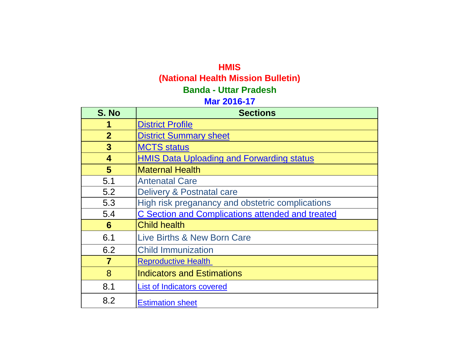### **HMIS**

## **(National Health Mission Bulletin)**

## **Banda - Uttar Pradesh**

## **Mar 2016-17**

| S. No                   | <b>Sections</b>                                         |
|-------------------------|---------------------------------------------------------|
|                         | <b>District Profile</b>                                 |
| $\overline{2}$          | <b>District Summary sheet</b>                           |
| 3                       | <b>MCTS status</b>                                      |
| $\overline{\mathbf{4}}$ | <b>HMIS Data Uploading and Forwarding status</b>        |
| 5                       | <b>Maternal Health</b>                                  |
| 5.1                     | <b>Antenatal Care</b>                                   |
| 5.2                     | Delivery & Postnatal care                               |
| 5.3                     | High risk preganancy and obstetric complications        |
| 5.4                     | <b>C Section and Complications attended and treated</b> |
| 6                       | <b>Child health</b>                                     |
| 6.1                     | <b>Live Births &amp; New Born Care</b>                  |
| 6.2                     | <b>Child Immunization</b>                               |
| 7                       | <b>Reproductive Health</b>                              |
| 8                       | <b>Indicators and Estimations</b>                       |
| 8.1                     | List of Indicators covered                              |
| 8.2                     | <b>Estimation sheet</b>                                 |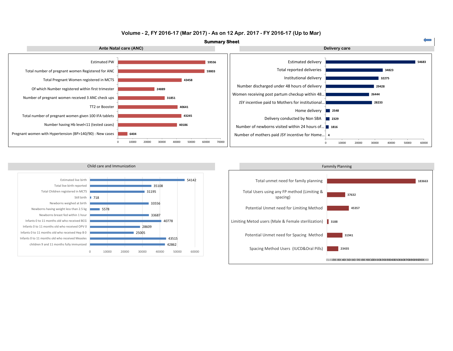#### **Volume - 2, FY 2016-17 (Mar 2017) - As on 12 Apr. 2017 - FY 2016-17 (Up to Mar)**



0 10000 20000 30000 40000 50000 60000 70000





0 10000 20000 30000 40000 50000 60000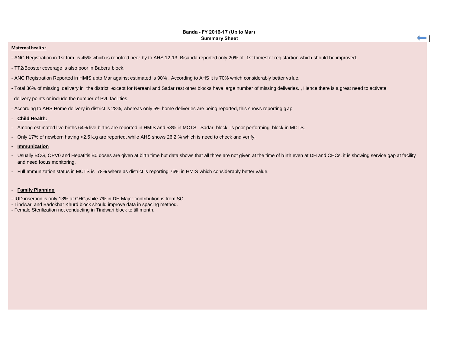#### **Banda - FY 2016-17 (Up to Mar) Summary Sheet**

 $\equiv$ 

#### **Maternal health :**

- ANC Registration in 1st trim. is 45% which is repotred neer by to AHS 12-13. Bisanda reported only 20% of 1st trimester registartion which should be improved.
- TT2/Booster coverage is also poor in Baberu block.
- ANC Registration Reported in HMIS upto Mar against estimated is 90% . According to AHS it is 70% which considerably better value.
- Total 36% of missing delivery in the district, except for Nereani and Sadar rest other blocks have large number of missing deliveries. , Hence there is a great need to activate delivery points or include the number of Pvt. facilities.
- According to AHS Home delivery in district is 28%, whereas only 5% home deliveries are being reported, this shows reporting g ap.

#### - **Child Health:**

- Among estimated live births 64% live births are reported in HMIS and 58% in MCTS. Sadar block is poor performing block in MCTS.
- Only 17% of newborn having <2.5 k.g are reported, while AHS shows 26.2 % which is need to check and verify.

#### - **Immunization**

- Usually BCG, OPV0 and Hepatitis B0 doses are given at birth time but data shows that all three are not given at the time of birth even at DH and CHCs, it is showing service gap at facility and need focus monitoring.
- Full Immunization status in MCTS is 78% where as district is reporting 76% in HMIS which considerably better value.

#### - **Family Planning**

- IUD insertion is only 13% at CHC,while 7% in DH.Major contribution is from SC.
- Tindwari and Badokhar Khurd block should improve data in spacing method.
- Female Sterilization not conducting in Tindwari block to till month.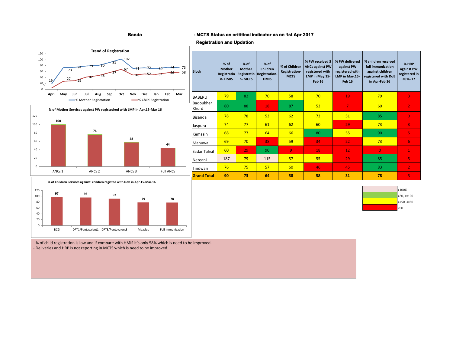#### **Banda - MCTS Status on crititical indicator as on 1st Apr 2017**

#### **Registration and Updation**







**% of Mother Services against PW registedred with LMP in Apr.15-Mar 16**

**100**

100 120





- % of child registration is low and if compare with HMIS it's only 58% which is need to be improved. - Deliveries and HRP is not reporting in MCTS which is need to be improved.

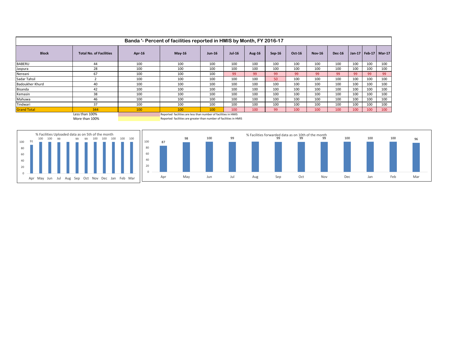|                    |                                |        | Banda '- Percent of facilities reported in HMIS by Month, FY 2016-17  |               |        |        |        |        |               |               |     |                          |     |
|--------------------|--------------------------------|--------|-----------------------------------------------------------------------|---------------|--------|--------|--------|--------|---------------|---------------|-----|--------------------------|-----|
| <b>Block</b>       | <b>Total No. of Facilities</b> | Apr-16 | $May-16$                                                              | <b>Jun-16</b> | Jul-16 | Aug-16 | Sep-16 | Oct-16 | <b>Nov-16</b> | <b>Dec-16</b> |     | Jan-17   Feb-17   Mar-17 |     |
| <b>BABERU</b>      | 44                             | 100    | 100                                                                   | 100           | 100    | 100    | 100    | 100    | 100           | 100           | 100 | 100                      | 100 |
| Jaspura            | 28                             | 100    | 100                                                                   | 100           | 100    | 100    | 100    | 100    | 100           | 100           | 100 | 100                      | 100 |
| Nereani            | 67                             | 100    | 100                                                                   | 100           | 99     | 99     | 99     | 99     | 99            | 99            | 99  | 99                       | 99  |
| Sadar Tahsil       |                                | 100    | 100                                                                   | 100           | 100    | 100    | 50     | 100    | 100           | 100           | 100 | 100                      | 100 |
| Badoukher Khurd    | 40                             | 100    | 100                                                                   | 100           | 100    | 100    | 100    | 100    | 100           | 100           | 100 | 100                      | 100 |
| Bisanda            | 42                             | 100    | 100                                                                   | 100           | 100    | 100    | 100    | 100    | 100           | 100           | 100 | 100                      | 100 |
| Kemasin            | 38                             | 100    | 100                                                                   | 100           | 100    | 100    | 100    | 100    | 100           | 100           | 100 | 100                      | 100 |
| Mahuwa             | 46                             | 100    | 100                                                                   | 100           | 100    | 100    | 100    | 100    | 100           | 100           | 100 | 100                      | 100 |
| Tindwari           | 37                             | 100    | 100                                                                   | 100           | 100    | 100    | 100    | 100    | 100           | 100           | 100 | 100                      | 100 |
| <b>Grand Total</b> | 344<br>$1 - 1 - 4$             | 100    | 100<br>Departed following our loss than according of footbits, in HMP | 100           | 100    | 100    | 99     | 100    | 100           | 100           | 100 | 100                      | 100 |

Less than 100% **Reported facilities are less than number of facilities in HMIS**<br>Reported facilities are greater than number of facilities in HMIS Reported facilities are greater than number of facilities in HMIS

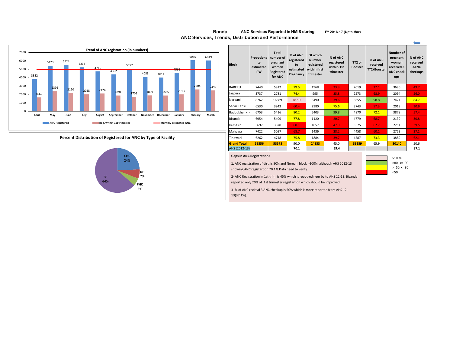

#### **Percent Distribution of Registered for ANC by Type of Facility**



| <b>Block</b>       | Propotional<br>te<br>estimated<br><b>PW</b> | <b>Total</b><br>number of<br>pregnant<br>women<br>Registered<br>for ANC | % of ANC<br>registered<br>to<br>estimated<br>Pregnancy | Of which<br><b>Number</b><br>registered<br>within first<br>trimester | % of ANC<br>registered<br>within 1st<br>trimester | TT2 or<br><b>Booster</b> | % of ANC<br>received<br>TT2/Booster | Number of<br>pregnant<br>women<br>received 3<br><b>ANC check</b><br>ups | % of ANC<br>received<br>3ANC<br>checkups |
|--------------------|---------------------------------------------|-------------------------------------------------------------------------|--------------------------------------------------------|----------------------------------------------------------------------|---------------------------------------------------|--------------------------|-------------------------------------|-------------------------------------------------------------------------|------------------------------------------|
| <b>BABFRU</b>      | 7440                                        | 5912                                                                    | 79.5                                                   | 1968                                                                 | 33.3                                              | 2019                     | 27.1                                | 3696                                                                    | 49.7                                     |
| Jaspura            | 3737                                        | 2781                                                                    | 74.4                                                   | 995                                                                  | 35.8                                              | 2573                     | 68.9                                | 2094                                                                    | 56.0                                     |
| Nereani            | 8762                                        | 16389                                                                   | 187.0                                                  | 6490                                                                 | 39.6                                              | 8655                     | 98.8                                | 7421                                                                    | 84.7                                     |
| Sadar Tahsil       | 6530                                        | 3943                                                                    | 60.4                                                   | 2980                                                                 | 75.6                                              | 3743                     | 57.3                                | 2019                                                                    | 30.9                                     |
| Badoukher Khi      | 6753                                        | 5416                                                                    | 80.2                                                   | 5403                                                                 | 99.8                                              | 4870                     | 72.1                                | 3878                                                                    | 57.4                                     |
| Bisanda            | 6954                                        | 5409                                                                    | 77.8                                                   | 1120                                                                 | 20.7                                              | 4779                     | 68.7                                | 2139                                                                    | 30.8                                     |
| Kemasin            | 5697                                        | 3878                                                                    | 68.1                                                   | 1857                                                                 | 47.9                                              | 3575                     | 62.7                                | 2251                                                                    | 39.5                                     |
| Mahuwa             | 7422                                        | 5097                                                                    | 68.7                                                   | 1436                                                                 | 28.2                                              | 4458                     | 60.1                                | 2753                                                                    | 37.1                                     |
| Tindwari           | 6262                                        | 4748                                                                    | 75.8                                                   | 1884                                                                 | 39.7                                              | 4587                     | 73.3                                | 3889                                                                    | 62.1                                     |
| <b>Grand Total</b> | 59556                                       | 53573                                                                   | 90.0                                                   | 24133                                                                | 45.0                                              | 39259                    | 65.9                                | 30140                                                                   | 50.6                                     |
| AHS (2012-13)      |                                             |                                                                         | 70.1                                                   |                                                                      | 59.4                                              |                          |                                     |                                                                         | 37.1                                     |

2- ANC Registration in 1st trim. is 45% which is repotred neer by to AHS 12-13. Bisanda reported only 20% of 1st trimester registartion which should be improved.

3- % of ANC recievd 3 ANC checkup is 50% which is more reported from AHS 12- 13(37.1%).

## <50

 $\leftarrow$ 

#### **FY 2016-17 (Upto Mar) Banda - ANC Services Reported in HMIS during ANC Services, Trends, Distribution and Performance**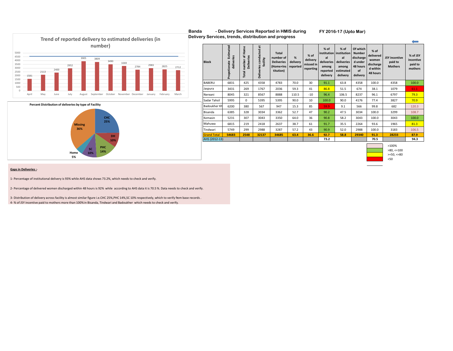

#### **FY 2016-17 (Upto Mar)**





|                    |                                         |                                            |                                                 |                                                                          |                           |                                              |                                                                            |                                                                             |                                                                                 |                                                                   |                                                   | $\overline{\phantom{a}}$                    |
|--------------------|-----------------------------------------|--------------------------------------------|-------------------------------------------------|--------------------------------------------------------------------------|---------------------------|----------------------------------------------|----------------------------------------------------------------------------|-----------------------------------------------------------------------------|---------------------------------------------------------------------------------|-------------------------------------------------------------------|---------------------------------------------------|---------------------------------------------|
| <b>Block</b>       | Estimated<br>deliveries<br>Propotionate | Home<br>F<br>Deliveries<br>number<br>Total | ä<br>conducted<br>facility<br><b>Deliveries</b> | <b>Total</b><br>number of<br><b>Deliveries</b><br>(Home+Ins<br>titution) | %<br>delivery<br>reported | $%$ of<br>delivery<br>missed in<br>reporting | $%$ of<br>institution<br>al<br>deliveries<br>among<br>reported<br>delivery | $%$ of<br>institution<br>al<br>deliveries<br>among<br>estimated<br>delivery | Of which<br><b>Number</b><br>discharge<br>d under<br>48 hours<br>of<br>delivery | $%$ of<br>delivered<br>women<br>discharge<br>d within<br>48 hours | <b>JSY</b> incentive<br>paid to<br><b>Mothers</b> | % of JSY<br>incentive<br>paid to<br>mothers |
| <b>BABERU</b>      | 6831                                    | 425                                        | 4358                                            | 4783                                                                     | 70.0                      | 30                                           | 91.1                                                                       | 63.8                                                                        | 4358                                                                            | 100.0                                                             | 4358                                              | 100.0                                       |
| Jaspura            | 3431                                    | 269                                        | 1767                                            | 2036                                                                     | 59.3                      | 41                                           | 86.8                                                                       | 51.5                                                                        | 674                                                                             | 38.1                                                              | 1079                                              | 61.1                                        |
| Nereani            | 8045                                    | 321                                        | 8567                                            | 8888                                                                     | 110.5                     | $-10$                                        | 96.4                                                                       | 106.5                                                                       | 8237                                                                            | 96.1                                                              | 6797                                              | 79.3                                        |
| Sadar Tahsil       | 5995                                    | 0                                          | 5395                                            | 5395                                                                     | 90.0                      | 10                                           | 100.0                                                                      | 90.0                                                                        | 4176                                                                            | 77.4                                                              | 3827                                              | 70.9                                        |
| Badoukher Kh       | 6200                                    | 380                                        | 567                                             | 947                                                                      | 15.3                      | 85                                           | 59.9                                                                       | 9.1                                                                         | 566                                                                             | 99.8                                                              | 682                                               | 120.3                                       |
| Bisanda            | 6385                                    | 328                                        | 3034                                            | 3362                                                                     | 52.7                      | 47                                           | 90.2                                                                       | 47.5                                                                        | 3034                                                                            | 100.0                                                             | 3299                                              | 108.7                                       |
| Kemasin            | 5231                                    | 307                                        | 3043                                            | 3350                                                                     | 64.0                      | 36                                           | 90.8                                                                       | 58.2                                                                        | 3043                                                                            | 100.0                                                             | 3043                                              | 100.0                                       |
| Mahuwa             | 6815                                    | 219                                        | 2418                                            | 2637                                                                     | 38.7                      | 61                                           | 91.7                                                                       | 35.5                                                                        | 2264                                                                            | 93.6                                                              | 1965                                              | 81.3                                        |
| Tindwari           | 5749                                    | 299                                        | 2988                                            | 3287                                                                     | 57.2                      | 43                                           | 90.9                                                                       | 52.0                                                                        | 2988                                                                            | 100.0                                                             | 3183                                              | 106.5                                       |
| <b>Grand Total</b> | 54683                                   | 2548                                       | 32137                                           | 34685                                                                    | 63.4                      | 36.6                                         | 92.7                                                                       | 58.8                                                                        | 29340                                                                           | 91.3                                                              | 28233                                             | 87.9                                        |
| AHS (2012-13)      |                                         |                                            |                                                 |                                                                          |                           |                                              | 73.2                                                                       |                                                                             |                                                                                 | 70.5                                                              |                                                   | 94.3                                        |



#### **Gaps in Deliveries :**-

1- Percentage of institutional delivery is 93% while AHS data shows 73.2%, which needs to check and verify.

2- Percentage of delivered women discharged within 48 hours is 92% while according to AHS data it is 70.5 %. Data needs to check and verify.

3- Distribution of delivery across facility is almost similar figure i.e.CHC 25%,PHC 14%,SC 10% respectively, which to verify from base records . 4- % of JSY incentive paid to mothers more than 100%in Bisanda, Tindwari and Badoukher which needs to check and verify.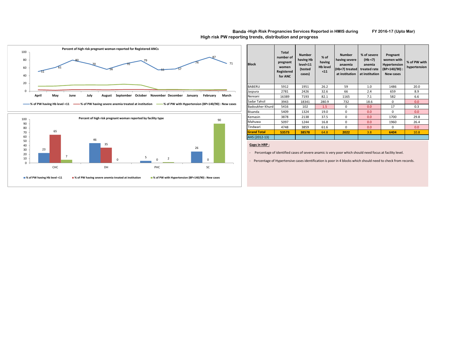



#### **Block Total number of pregnant women Registered for ANC Number having Hb level<11 (tested cases) % of having Hb level <11 Number having severe anaemia (Hb<7) treated at institution % of severe (Hb <7) anemia treated rate at institution Pregnant women with Hypertension (BP>140/90) : New cases % of PW with hypertension** BABERU 5912 1951 26.2 59 1.0 1486 20.0 Jaspura | 2781 | 2426 | 32.6 | 66 | 2.4 | 659 | 8.9 Nereani | 16389 | 7193 | 82.1 | 1165 | 7.1 | 582 | 6.6 Sadar Tahsil 3943 18341 280.9 732 18.6 0 0.0 Badoukher Khurd 5416 102 1.5 0 0.0 17 0.3 Bisanda | 5409 | 1324 | 19.0 | 0 | 0.0 | 0 | 0.0 | 0.0 Kemasin 3878 2138 37.5 0 0.0 1700 29.8 Mahuwa 5097 1244 16.8 0 0.0 1960 26.4 Tindwari | 4748 | 3859 | 61.6 | 0 | 0.0 | 0 | 0.0 | 0.0 **Grand Total 53573 38578** 64.8 **2022** 3.8 **6404** 10.8 AHS (2012-13)

#### **Gaps in HRP :**

- Percentage of identified cases of severe anamic is very poor which should need focus at facility level.

- Percentage of Hypertensive cases identification is poor in 4 blocks which should need to check from records.

#### **Banda -High Risk Pregnancies Services Reported in HMIS during FY 2016-17 (Upto Mar) High risk PW reporting trends, distribution and progress**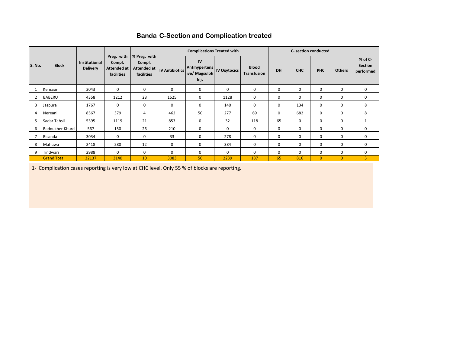| <b>Banda C-Section and Complication treated</b> |  |
|-------------------------------------------------|--|
|-------------------------------------------------|--|

|               |                        |                                         |                                                          |                                                     |                       | <b>Complications Treated with</b>            |                     |                                    |             | C- section conducted |              |                |                                          |
|---------------|------------------------|-----------------------------------------|----------------------------------------------------------|-----------------------------------------------------|-----------------------|----------------------------------------------|---------------------|------------------------------------|-------------|----------------------|--------------|----------------|------------------------------------------|
| <b>S. No.</b> | <b>Block</b>           | <b>Institutional</b><br><b>Delivery</b> | Preg. with<br>Compl.<br><b>Attended at</b><br>facilities | % Preg. with<br>Compl.<br>Attended at<br>facilities | <b>IV Antibiotics</b> | IV<br>Antihypertens<br>ive/ Magsulph<br>Inj. | <b>IV Oxytocics</b> | <b>Blood</b><br><b>Transfusion</b> | DH          | <b>CHC</b>           | <b>PHC</b>   | <b>Others</b>  | $%$ of C-<br><b>Section</b><br>performed |
|               | Kemasin                | 3043                                    | $\mathbf 0$                                              | $\mathbf 0$                                         | $\mathbf 0$           | $\mathbf 0$                                  | $\mathbf 0$         | $\mathbf 0$                        | 0           | $\mathbf 0$          | $\mathbf 0$  | $\mathbf 0$    | $\mathbf 0$                              |
| 2             | <b>BABERU</b>          | 4358                                    | 1212                                                     | 28                                                  | 1525                  | 0                                            | 1128                | 0                                  | 0           | 0                    | 0            | $\mathbf 0$    | 0                                        |
| 3             | Jaspura                | 1767                                    | $\Omega$                                                 | $\mathbf 0$                                         | 0                     | 0                                            | 140                 | 0                                  | 0           | 134                  | $\mathbf 0$  | $\mathbf 0$    | 8                                        |
| 4             | Nereani                | 8567                                    | 379                                                      | 4                                                   | 462                   | 50                                           | 277                 | 69                                 | 0           | 682                  | $\mathbf 0$  | 0              | 8                                        |
| 5             | Sadar Tahsil           | 5395                                    | 1119                                                     | 21                                                  | 853                   | $\mathbf 0$                                  | 32                  | 118                                | 65          | 0                    | $\mathbf 0$  | $\mathbf 0$    |                                          |
| 6             | <b>Badoukher Khurd</b> | 567                                     | 150                                                      | 26                                                  | 210                   | $\mathbf 0$                                  | $\mathbf 0$         | 0                                  | 0           | 0                    | $\mathbf 0$  | $\mathbf 0$    | 0                                        |
| 7             | <b>Bisanda</b>         | 3034                                    | $\mathbf 0$                                              | $\mathbf 0$                                         | 33                    | 0                                            | 278                 | 0                                  | $\mathbf 0$ | 0                    | $\mathbf 0$  | $\Omega$       | 0                                        |
| 8             | Mahuwa                 | 2418                                    | 280                                                      | 12                                                  | $\mathbf 0$           | $\mathbf 0$                                  | 384                 | 0                                  | 0           | 0                    | $\mathbf 0$  | $\mathbf 0$    | $\mathbf 0$                              |
| 9             | Tindwari               | 2988                                    | $\mathbf 0$                                              | 0                                                   | $\mathbf 0$           | 0                                            | $\Omega$            | 0                                  | 0           | 0                    | 0            | $\mathbf 0$    | 0                                        |
|               | <b>Grand Total</b>     | 32137                                   | 3140                                                     | 10                                                  | 3083                  | 50                                           | 2239                | 187                                | 65          | 816                  | $\mathbf{0}$ | $\overline{0}$ | 3                                        |

1- Complication cases reporting is very low at CHC level. Only 55 % of blocks are reporting.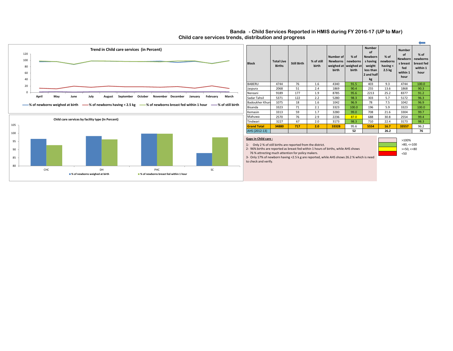#### **Child care services trends, distribution and progress Banda - Child Services Reported in HMIS during FY 2016-17 (UP to Mar)**

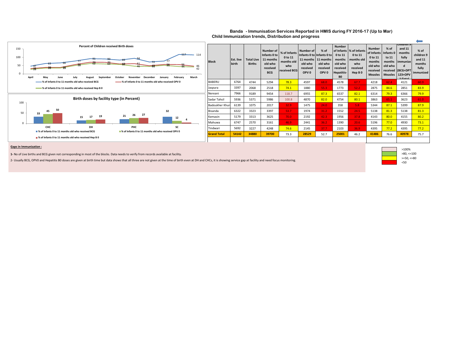



| <b>Block</b>          | Est. live<br>birth | <b>Total Live</b><br><b>Births</b> | <b>Number of</b><br>Infants 0 to<br>11 months<br>old who<br>received<br><b>BCG</b> | % of Infants<br>0 to 11<br>months old<br>who<br>received BCG | Number of<br>Infants 0 to Infants 0 to<br>11 months<br>old who<br>received<br>OPV <sub>0</sub> | $%$ of<br>11 months<br>old who<br>received<br>OPV <sub>0</sub> | <b>Number</b><br>0 to 11<br>months<br>old who<br>received<br><b>Hepatitis-</b><br><b>B0</b> | of Infants   % of Infants<br>0 to 11<br>months old<br>who<br>received<br>Hep B <sub>0</sub> | <b>Number</b><br>of Infants<br>0 to 11<br>months<br>old who<br>received<br><b>Measles</b> | $%$ of<br>Infants <sub>0</sub><br>to 11<br>months<br>old who<br><b>Measles</b> | children 9<br>and 11<br>months<br>fully<br>immunize<br>d<br>received (BCG+DPT<br>123+OPV<br>$1.7 - 1 - 1$ | % of<br>children 9<br>and 11<br>months<br>fully<br>immunized |
|-----------------------|--------------------|------------------------------------|------------------------------------------------------------------------------------|--------------------------------------------------------------|------------------------------------------------------------------------------------------------|----------------------------------------------------------------|---------------------------------------------------------------------------------------------|---------------------------------------------------------------------------------------------|-------------------------------------------------------------------------------------------|--------------------------------------------------------------------------------|-----------------------------------------------------------------------------------------------------------|--------------------------------------------------------------|
| <b>BABERU</b>         | 6764               | 4744                               | 5294                                                                               | 78.3                                                         | 4597                                                                                           | 68.0                                                           | 4578                                                                                        | 67.7                                                                                        | 4218                                                                                      | 62.4                                                                           | 4121                                                                                                      | 60.9                                                         |
| Jaspura               | 3397               | 2068                               | 2518                                                                               | 74.1                                                         | 1880                                                                                           | 55.3                                                           | 1773                                                                                        | 52.2                                                                                        | 2875                                                                                      | 84.6                                                                           | 2851                                                                                                      | 83.9                                                         |
| Nereani               | 7966               | 9189                               | 9454                                                                               | 118.7                                                        | 6955                                                                                           | 87.3                                                           | 6537                                                                                        | 82.1                                                                                        | 6314                                                                                      | 79.3                                                                           | 6366                                                                                                      | 79.9                                                         |
| Sadar Tahsil          | 5936               | 5371                               | 5986                                                                               | 100.8                                                        | 4870                                                                                           | 82.0                                                           | 4754                                                                                        | 80.1                                                                                        | 3863                                                                                      | 65.1                                                                           | 3623                                                                                                      | 61.0                                                         |
| <b>Badoukher Khun</b> | 6139               | 1075                               | 2017                                                                               | 32.9                                                         | 1475                                                                                           | 24.0                                                           | 358                                                                                         | 5.8                                                                                         | 5344                                                                                      | 87.1                                                                           | 5399                                                                                                      | 87.9                                                         |
| Bisanda               | 6322               | 3323                               | 3397                                                                               | 53.7                                                         | 1974                                                                                           | 31.2                                                           | 1552                                                                                        | 24.5                                                                                        | 5138                                                                                      | 81.3                                                                           | 5138                                                                                                      | 81.3                                                         |
| Kemasin               | 5179               | 3313                               | 3625                                                                               | 70.0                                                         | 2192                                                                                           | 42.3                                                           | 1956                                                                                        | 37.8                                                                                        | 4143                                                                                      | 80.0                                                                           | 4155                                                                                                      | 80.2                                                         |
| Mahuwa                | 6747               | 2570                               | 3161                                                                               | 46.9                                                         | 2441                                                                                           | 36.2                                                           | 1390                                                                                        | 20.6                                                                                        | 5196                                                                                      | 77.0                                                                           | 4930                                                                                                      | 73.1                                                         |
| Tindwari              | 5692               | 3227                               | 4248                                                                               | 74.6                                                         | 2145                                                                                           | 37.7                                                           | 2103                                                                                        | 36.9                                                                                        | 4395                                                                                      | 77.2                                                                           | 4395                                                                                                      | 77.2                                                         |
| <b>Grand Total</b>    | 54142              | 34880                              | 39700                                                                              | 73.3                                                         | 28529                                                                                          | 52.7                                                           | 25001                                                                                       | 46.2                                                                                        | 41486                                                                                     | 76.6                                                                           | 40978                                                                                                     | 75.7                                                         |
|                       |                    |                                    |                                                                                    |                                                              |                                                                                                |                                                                |                                                                                             |                                                                                             |                                                                                           |                                                                                |                                                                                                           |                                                              |

#### **Gaps in Immunization :**

**1-** No of Live births and BCG given not corresponding in most of the blocks. Data needs to verify from records available at facility.

**% of Infants 0 to 11 months old who received Hep B 0**

2- Usually BCG, OPV0 and Hepatitis B0 doses are given at birth time but data shows that all three are not given at the time of birth even at DH and CHCs, it is showing service gap at facility and need focus monitoring.



 $\leftarrow$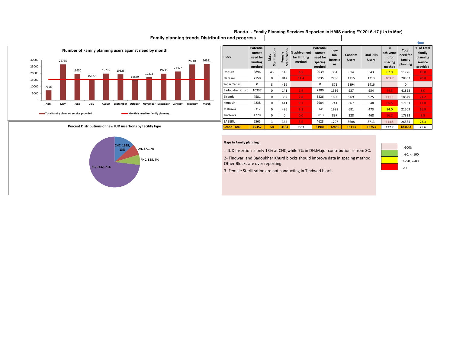#### **Banda - Family Planning Services Reported in HMIS during FY 2016-17 (Up to Mar)**

 **Family planning trends Distribution and progress**



#### **Percent Distributions of new IUD insertions by facility type**

![](_page_13_Figure_4.jpeg)

| <b>Block</b>       | <b>Potential</b><br>unmet<br>need for<br>limiting<br>method | c<br>Sterilizatio<br>Viale | c<br>Sterilizatio<br>emale | % achivement<br>for limiting<br>method | <b>Potential</b><br>unmet<br>need for<br>spacing<br>method | new<br><b>IUD</b><br>Insertio<br><b>ns</b> | Condom<br><b>Users</b> | <b>Oral Pills</b><br><b>Users</b> | %<br>achiveme<br>nt for<br>spacing<br>method | <b>Total</b><br>need for<br>family<br>planning | % of Total<br>family<br>planning<br>service<br>provided |
|--------------------|-------------------------------------------------------------|----------------------------|----------------------------|----------------------------------------|------------------------------------------------------------|--------------------------------------------|------------------------|-----------------------------------|----------------------------------------------|------------------------------------------------|---------------------------------------------------------|
| Jaspura            | 2896                                                        | 43                         | 146                        | 6.5                                    | 2039                                                       | 334                                        | 814                    | 543                               | 82.9                                         | 11726                                          | 16.0                                                    |
| Nereani            | 7150                                                        | $\mathbf 0$                | 812                        | 11.4                                   | 5035                                                       | 2796                                       | 1215                   | 1213                              | 103.7                                        | 28953                                          | 20.8                                                    |
| Sadar Tahsil       | 0                                                           | 8                          | 416                        |                                        | 0                                                          | 871                                        | 1894                   | 1416                              |                                              | 0                                              |                                                         |
| Badoukher Khurd    | 10337                                                       | 0                          | 141                        | 1.4                                    | 7280                                                       | 1336                                       | 937                    | 954                               | 44.3                                         | 41858                                          | 8.0                                                     |
| Bisanda            | 4581                                                        | $\mathbf 0$                | 357                        | 7.8                                    | 3226                                                       | 1690                                       | 969                    | 925                               | 111.1                                        | 18549                                          | 21.2                                                    |
| Kemasin            | 4238                                                        | $\mathbf 0$                | 411                        | 9.7                                    | 2984                                                       | 741                                        | 667                    | 548                               | 65.5                                         | 17161                                          | 13.8                                                    |
| Mahuwa             | 5312                                                        | $\mathbf 0$                | 486                        | 9.1                                    | 3741                                                       | 1988                                       | 681                    | 473                               | 84.0                                         | 21509                                          | 16.9                                                    |
| Tindwari           | 4278                                                        | $\mathbf 0$                | $\Omega$                   | 0.0                                    | 3013                                                       | 897                                        | 328                    | 468                               | 56.2                                         | 17323                                          | 9.8                                                     |
| <b>BABERU</b>      | 6565                                                        | 3                          | 365                        | 5.6                                    | 4623                                                       | 1797                                       | 8608                   | 8713                              | 413.5                                        | 26584                                          | 73.3                                                    |
| <b>Grand Total</b> | 45357                                                       | 54                         | 3134                       | 7.03                                   | 31941                                                      | 12450                                      | 16113                  | 15253                             | 137.2                                        | 183663                                         | 25.6                                                    |

#### **Gaps in Family planning :**

1- IUD insertion is only 13% at CHC,while 7% in DH.Major contribution is from SC.

2- Tindwari and Badoukher Khurd blocks should improve data in spacing method. Other Blocks are over reporting.

![](_page_13_Figure_9.jpeg)

 $\overline{\phantom{0}}$ 

3- Female Sterilization are not conducting in Tindwari block.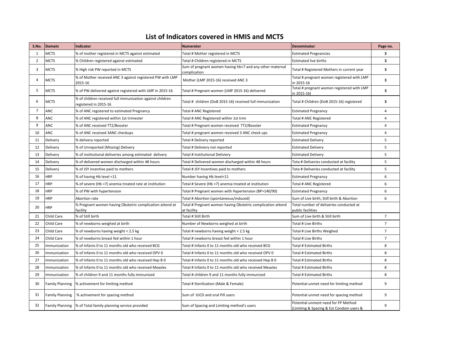### **List of Indicators covered in HMIS and MCTS**

| S.No.          | Domain                 | Indicator                                                                          | <b>Numerator</b>                                                           | Denominator                                                                     | Page no.       |
|----------------|------------------------|------------------------------------------------------------------------------------|----------------------------------------------------------------------------|---------------------------------------------------------------------------------|----------------|
| 1              | <b>MCTS</b>            | % of mother registered in MCTS against estimated                                   | Total # Mother registered in MCTS                                          | <b>Estimated Pregnancies</b>                                                    | 3              |
| $\overline{2}$ | <b>MCTS</b>            | % Children registered against estimated                                            | Total # Children registered in MCTS                                        | <b>Estimated live births</b>                                                    | 3              |
| 3              | <b>MCTS</b>            | % High risk PW reported in MCTS                                                    | Sum of pregnant women having hb<7 and any other maternal<br>complication   | Total # Registered Mothers in current year                                      | 3              |
| 4              | <b>MCTS</b>            | % of Mother received ANC 3 against registered PW with LMP<br>2015-16               | Mother (LMP 2015-16) received ANC 3                                        | Total # pregnant women registered with LMP<br>in 2015-16                        | 3              |
| 5              | <b>MCTS</b>            | % of PW delivered against registered with LMP in 2015-16                           | Total # Pregnant women (LMP 2015-16) delivered                             | Total # pregnant women registered with LMP<br>in 2015-16)                       | 3              |
| 6              | <b>MCTS</b>            | % of children received full immunization against children<br>registered in 2015-16 | Total # children (DoB 2015-16) received full immunization                  | Total # Children (DoB 2015-16) registered                                       | 3              |
| $\overline{7}$ | <b>ANC</b>             | % of ANC registered to estimated Pregnancy                                         | Total # ANC Registered                                                     | <b>Estimated Pregnancy</b>                                                      | $\overline{4}$ |
| 8              | ANC                    | % of ANC registered within 1st trimester                                           | Total # ANC Registered within 1st trim                                     | Total # ANC Registered                                                          | 4              |
| 9              | ANC                    | % of ANC received TT2/Booster                                                      | Total # Pregnant women received TT2/Booster                                | <b>Estimated Pregnancy</b>                                                      | $\overline{4}$ |
| 10             | ANC                    | % of ANC received 3ANC checkups                                                    | Total # pregnant women received 3 ANC check ups                            | <b>Estimated Pregnancy</b>                                                      | $\overline{4}$ |
| 11             | Delivery               | % delivery reported                                                                | Total # Delivery reported                                                  | <b>Estimated Delivery</b>                                                       | 5              |
| 12             | Delivery               | % of Unreported (Missing) Delivery                                                 | Total # Deliviery not reported                                             | <b>Estimated Delivery</b>                                                       | 5              |
| 13             | Delivery               | % of institutional deliveries among estimated delivery                             | Total # Institutional Deliviery                                            | <b>Estimated Delivery</b>                                                       | 5              |
| 14             | Delivery               | % of delivered women discharged within 48 hours                                    | Total # Delivered women discharged within 48 hours                         | Tota # Deliveries conducted at facility                                         | 5              |
| 15             | Delivery               | % of JSY incentive paid to mothers                                                 | Total # JSY Incentives paid to mothers                                     | Tota # Deliveries conducted at facility                                         | 5              |
| 16             | <b>HRP</b>             | % of having Hb level <11                                                           | Number having Hb level<11                                                  | <b>Estimated Pregnancy</b>                                                      | 6              |
| 17             | <b>HRP</b>             | % of severe (Hb <7) anemia treated rate at institution                             | Total # Severe (Hb <7) anemia treated at institution                       | Total # ANC Registered                                                          | 6              |
| 18             | <b>HRP</b>             | % of PW with hypertension                                                          | Total # Pregnant women with Hypertension (BP>140/90)                       | <b>Estimated Pregnancy</b>                                                      | 6              |
| 19             | <b>HRP</b>             | Abortion rate                                                                      | Total # Abortion (spontaneous/induced)                                     | Sum of Live birth, Still birth & Abortion                                       | 6              |
| 20             | <b>HRP</b>             | % Pregnant women having Obstetric complication attend at<br>facility               | Total # Pregnant women having Obstetric complication attend<br>at facility | Total number of deliveries conducted at<br>public facilities                    |                |
| 21             | Child Care             | % of Still birth                                                                   | Total # Still Birth                                                        | Sum of Live birth & Still birth                                                 | $\overline{7}$ |
| 22             | Child Care             | % of newborns weighed at birth                                                     | Number of Newborns weighed at birth                                        | Total # Live Births                                                             | $\overline{7}$ |
| 23             | Child Care             | % of newborns having weight < 2.5 kg                                               | Total # newborns having weight < 2.5 kg                                    | Total # Live Births Weighed                                                     | $\overline{7}$ |
| 24             | Child Care             | % of newborns breast fed within 1 hour                                             | Total # newborns breast fed within 1 hour                                  | Total # Live Births                                                             | $\overline{7}$ |
| 25             | Immunization           | % of Infants 0 to 11 months old who received BCG                                   | Total # Infants 0 to 11 months old who received BCG                        | Total # Estimated Births                                                        | 8              |
| 26             | Immunization           | % of Infants 0 to 11 months old who received OPV 0                                 | Total # Infants 0 to 11 months old who received OPV 0                      | Total # Estimated Births                                                        | 8              |
| 27             | Immunization           | % of Infants 0 to 11 months old who received Hep B 0                               | Total # Infants 0 to 11 months old who received Hep B 0                    | Total # Estimated Births                                                        | 8              |
| 28             | Immunization           | % of Infants 0 to 11 months old who received Measles                               | Total # Infants 0 to 11 months old who received Measles                    | Total # Estimated Births                                                        | 8              |
| 29             | Immunization           | % of children 9 and 11 months fully immunized                                      | Total # children 9 and 11 months fully immunized                           | Total # Estimated Births                                                        | 8              |
| 30             | <b>Family Planning</b> | % achivement for limiting method                                                   | Total # Sterilization (Male & Female)                                      | Potential unmet need for limiting method                                        | 9              |
| 31             | <b>Family Planning</b> | % achivement for spacing method                                                    | Sum of IUCD and oral Pill users                                            | Potential unmet need for spacing method                                         | 9              |
| 32             |                        | Family Planning  % of Total family planning service provided                       | Sum of Spacing and Limiting method's users                                 | Potential unment need for FP Method<br>(Limiting & Spacing & Est Condom users & | 9              |